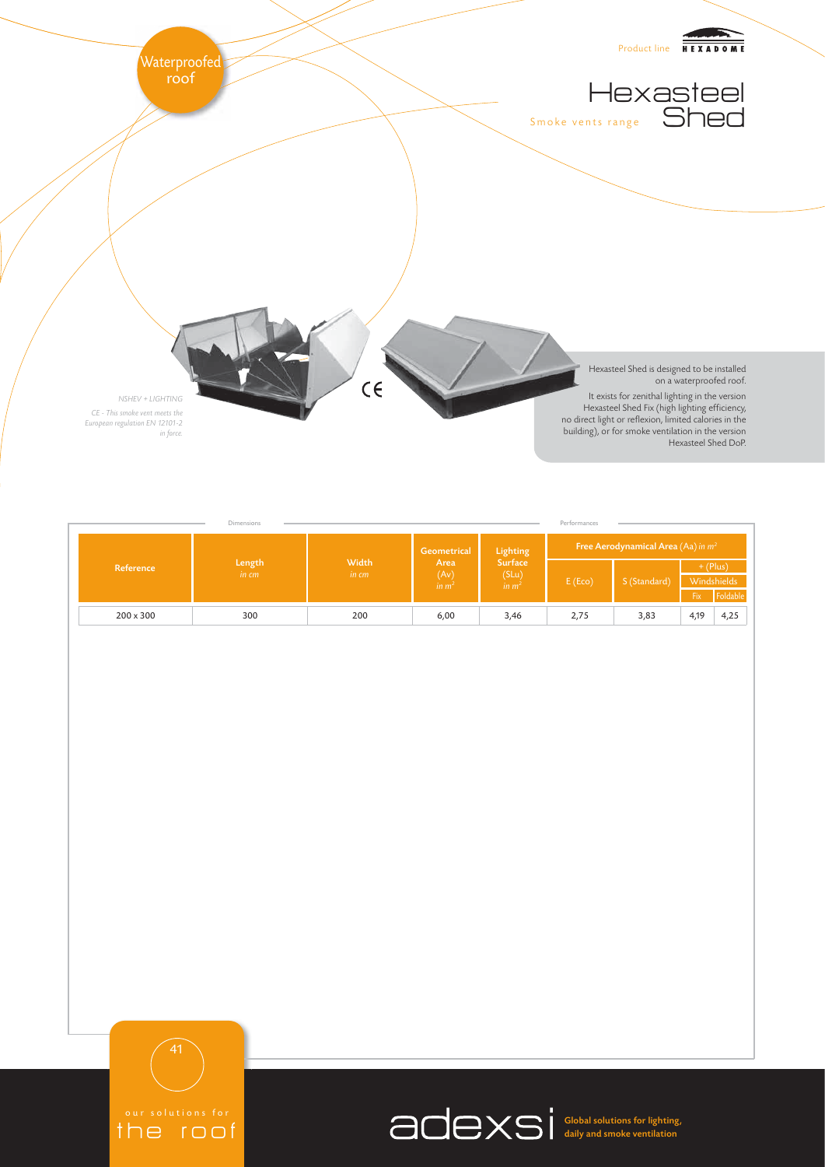

|                  | Dimensions      |                |                                                  |                                                          | Performances                          |              |                           |          |
|------------------|-----------------|----------------|--------------------------------------------------|----------------------------------------------------------|---------------------------------------|--------------|---------------------------|----------|
| Reference        | Length<br>in cm | Width<br>in cm | Geometrical<br>Area<br>(Av)<br>in m <sup>2</sup> | Lighting<br><b>Surface</b><br>(SLu)<br>in m <sup>2</sup> | Free Aerodynamical Area (Aa) in $m^2$ |              |                           |          |
|                  |                 |                |                                                  |                                                          | E(Eco)                                | S (Standard) | $+$ (Plus)<br>Windshields |          |
|                  |                 |                |                                                  |                                                          |                                       |              | $Fix^1$                   | Foldable |
| $200 \times 300$ | 300             | 200            | 6,00                                             | 3,46                                                     | 2,75                                  | 3,83         | 4,19                      | 4,25     |

the roof

Global solutions for lighting, daily and smoke ventilation